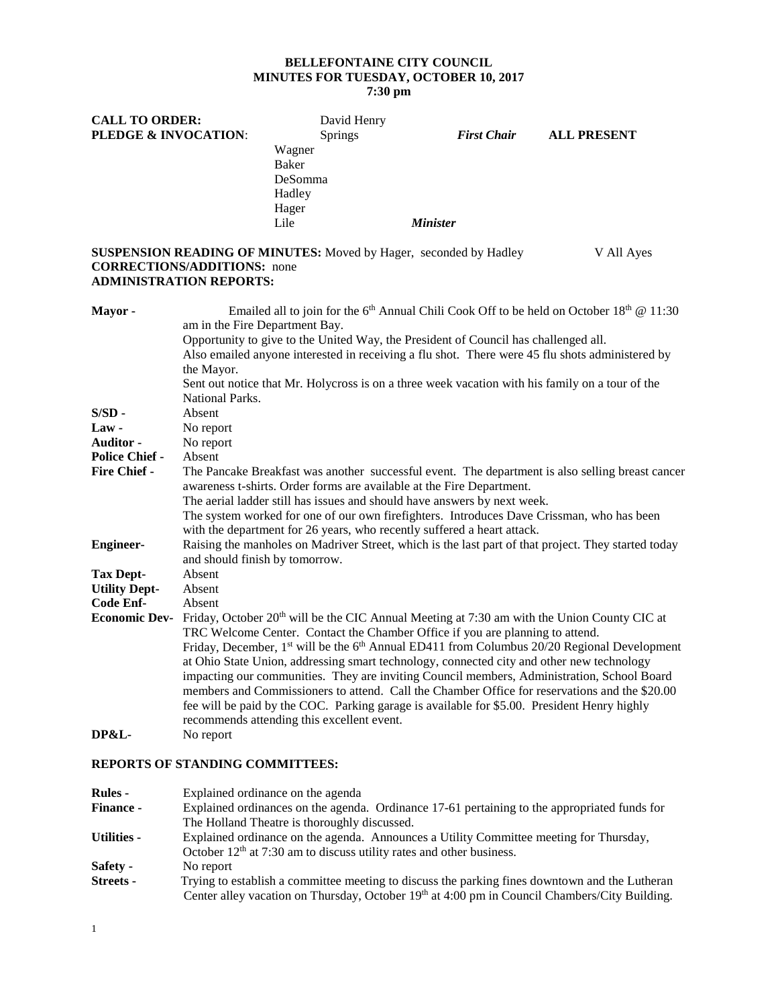# **BELLEFONTAINE CITY COUNCIL MINUTES FOR TUESDAY, OCTOBER 10, 2017**

**7:30 pm**

| <b>CALL TO ORDER:</b>                                                  |                                                                                                                                                                                                                                                                                                                                                                                                                                                                                                                                                             | David Henry                                                             |                 |                                                                               |                                                                                                                                                                                                                                                                                                                                                                                                                                                                                                                                                                                                                                                |  |
|------------------------------------------------------------------------|-------------------------------------------------------------------------------------------------------------------------------------------------------------------------------------------------------------------------------------------------------------------------------------------------------------------------------------------------------------------------------------------------------------------------------------------------------------------------------------------------------------------------------------------------------------|-------------------------------------------------------------------------|-----------------|-------------------------------------------------------------------------------|------------------------------------------------------------------------------------------------------------------------------------------------------------------------------------------------------------------------------------------------------------------------------------------------------------------------------------------------------------------------------------------------------------------------------------------------------------------------------------------------------------------------------------------------------------------------------------------------------------------------------------------------|--|
| <b>PLEDGE &amp; INVOCATION:</b>                                        |                                                                                                                                                                                                                                                                                                                                                                                                                                                                                                                                                             | <b>Springs</b><br>Wagner<br>Baker<br>DeSomma<br>Hadley<br>Hager<br>Lile | <b>Minister</b> | <b>First Chair</b>                                                            | <b>ALL PRESENT</b>                                                                                                                                                                                                                                                                                                                                                                                                                                                                                                                                                                                                                             |  |
| <b>CORRECTIONS/ADDITIONS:</b> none<br><b>ADMINISTRATION REPORTS:</b>   |                                                                                                                                                                                                                                                                                                                                                                                                                                                                                                                                                             |                                                                         |                 | SUSPENSION READING OF MINUTES: Moved by Hager, seconded by Hadley             | V All Ayes                                                                                                                                                                                                                                                                                                                                                                                                                                                                                                                                                                                                                                     |  |
| <b>Mayor</b> -<br>S/SD-<br><b>Law -</b>                                | Emailed all to join for the 6 <sup>th</sup> Annual Chili Cook Off to be held on October 18 <sup>th</sup> @ 11:30<br>am in the Fire Department Bay.<br>Opportunity to give to the United Way, the President of Council has challenged all.<br>Also emailed anyone interested in receiving a flu shot. There were 45 flu shots administered by<br>the Mayor.<br>Sent out notice that Mr. Holycross is on a three week vacation with his family on a tour of the<br><b>National Parks.</b><br>Absent<br>No report                                              |                                                                         |                 |                                                                               |                                                                                                                                                                                                                                                                                                                                                                                                                                                                                                                                                                                                                                                |  |
| Auditor -<br><b>Police Chief -</b><br>Fire Chief -<br><b>Engineer-</b> | No report<br>Absent<br>The Pancake Breakfast was another successful event. The department is also selling breast cancer<br>awareness t-shirts. Order forms are available at the Fire Department.<br>The aerial ladder still has issues and should have answers by next week.<br>The system worked for one of our own firefighters. Introduces Dave Crissman, who has been<br>with the department for 26 years, who recently suffered a heart attack.<br>Raising the manholes on Madriver Street, which is the last part of that project. They started today |                                                                         |                 |                                                                               |                                                                                                                                                                                                                                                                                                                                                                                                                                                                                                                                                                                                                                                |  |
| <b>Tax Dept-</b><br><b>Utility Dept-</b><br>Code Enf-                  | and should finish by tomorrow.<br>Absent<br>Absent<br>Absent                                                                                                                                                                                                                                                                                                                                                                                                                                                                                                | recommends attending this excellent event.                              |                 | TRC Welcome Center. Contact the Chamber Office if you are planning to attend. | <b>Economic Dev-</b> Friday, October 20 <sup>th</sup> will be the CIC Annual Meeting at 7:30 am with the Union County CIC at<br>Friday, December, 1 <sup>st</sup> will be the 6 <sup>th</sup> Annual ED411 from Columbus 20/20 Regional Development<br>at Ohio State Union, addressing smart technology, connected city and other new technology<br>impacting our communities. They are inviting Council members, Administration, School Board<br>members and Commissioners to attend. Call the Chamber Office for reservations and the \$20.00<br>fee will be paid by the COC. Parking garage is available for \$5.00. President Henry highly |  |
| <b>DP&amp;L-</b>                                                       | No report                                                                                                                                                                                                                                                                                                                                                                                                                                                                                                                                                   |                                                                         |                 |                                                                               |                                                                                                                                                                                                                                                                                                                                                                                                                                                                                                                                                                                                                                                |  |

# **REPORTS OF STANDING COMMITTEES:**

| <b>Rules -</b>     | Explained ordinance on the agenda                                                              |  |  |  |  |  |
|--------------------|------------------------------------------------------------------------------------------------|--|--|--|--|--|
| <b>Finance -</b>   | Explained ordinances on the agenda. Ordinance 17-61 pertaining to the appropriated funds for   |  |  |  |  |  |
|                    | The Holland Theatre is thoroughly discussed.                                                   |  |  |  |  |  |
| <b>Utilities -</b> | Explained ordinance on the agenda. Announces a Utility Committee meeting for Thursday,         |  |  |  |  |  |
|                    | October $12th$ at 7:30 am to discuss utility rates and other business.                         |  |  |  |  |  |
| Safety -           | No report                                                                                      |  |  |  |  |  |
| Streets -          | Trying to establish a committee meeting to discuss the parking fines downtown and the Lutheran |  |  |  |  |  |
|                    | Center alley vacation on Thursday, October 19th at 4:00 pm in Council Chambers/City Building.  |  |  |  |  |  |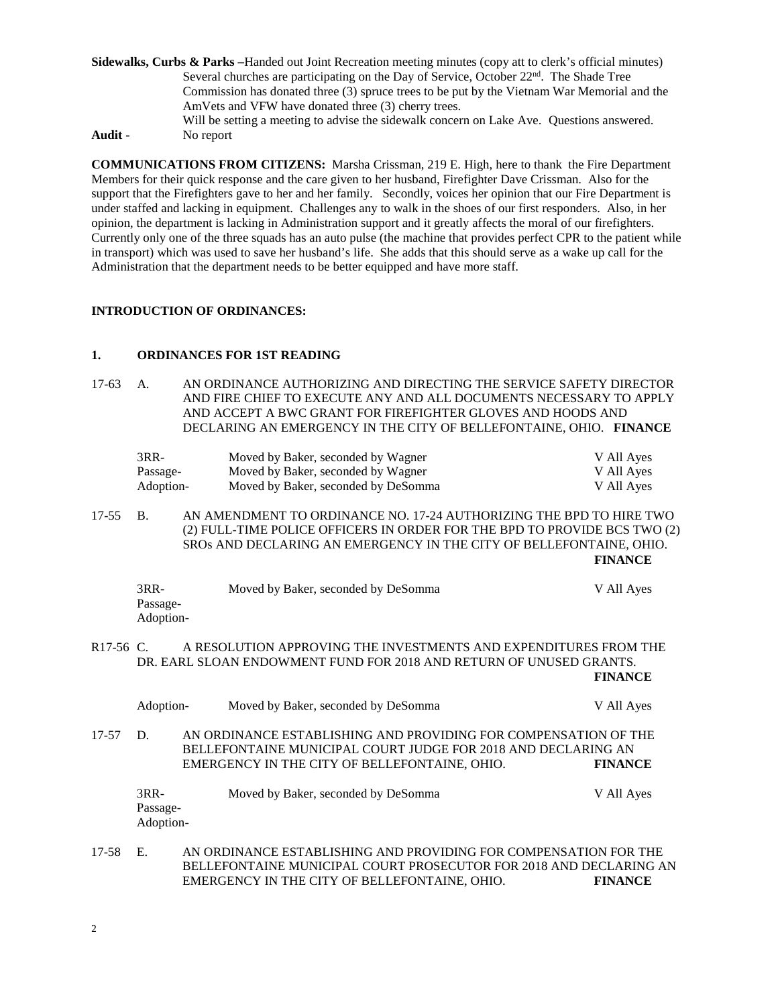- **Sidewalks, Curbs & Parks –**Handed out Joint Recreation meeting minutes (copy att to clerk's official minutes) Several churches are participating on the Day of Service, October  $22<sup>nd</sup>$ . The Shade Tree Commission has donated three (3) spruce trees to be put by the Vietnam War Memorial and the AmVets and VFW have donated three (3) cherry trees. Will be setting a meeting to advise the sidewalk concern on Lake Ave. Questions answered. **Audit -** No report
- **COMMUNICATIONS FROM CITIZENS:** Marsha Crissman, 219 E. High, here to thank the Fire Department Members for their quick response and the care given to her husband, Firefighter Dave Crissman. Also for the support that the Firefighters gave to her and her family. Secondly, voices her opinion that our Fire Department is under staffed and lacking in equipment. Challenges any to walk in the shoes of our first responders. Also, in her opinion, the department is lacking in Administration support and it greatly affects the moral of our firefighters. Currently only one of the three squads has an auto pulse (the machine that provides perfect CPR to the patient while in transport) which was used to save her husband's life. She adds that this should serve as a wake up call for the Administration that the department needs to be better equipped and have more staff.

## **INTRODUCTION OF ORDINANCES:**

#### **1. ORDINANCES FOR 1ST READING**

17-63 A. AN ORDINANCE AUTHORIZING AND DIRECTING THE SERVICE SAFETY DIRECTOR AND FIRE CHIEF TO EXECUTE ANY AND ALL DOCUMENTS NECESSARY TO APPLY AND ACCEPT A BWC GRANT FOR FIREFIGHTER GLOVES AND HOODS AND DECLARING AN EMERGENCY IN THE CITY OF BELLEFONTAINE, OHIO. **FINANCE**

| 3RR-      | Moved by Baker, seconded by Wagner  | V All Ayes |
|-----------|-------------------------------------|------------|
| Passage-  | Moved by Baker, seconded by Wagner  | V All Ayes |
| Adoption- | Moved by Baker, seconded by DeSomma | V All Aves |

17-55 B. AN AMENDMENT TO ORDINANCE NO. 17-24 AUTHORIZING THE BPD TO HIRE TWO (2) FULL-TIME POLICE OFFICERS IN ORDER FOR THE BPD TO PROVIDE BCS TWO (2) SROs AND DECLARING AN EMERGENCY IN THE CITY OF BELLEFONTAINE, OHIO. **FINANCE**

| $3RR-$    | Moved by Baker, seconded by DeSomma | V All Ayes |
|-----------|-------------------------------------|------------|
| Passage-  |                                     |            |
| Adoption- |                                     |            |

R17-56 C. A RESOLUTION APPROVING THE INVESTMENTS AND EXPENDITURES FROM THE DR. EARL SLOAN ENDOWMENT FUND FOR 2018 AND RETURN OF UNUSED GRANTS. **FINANCE**

Adoption- Moved by Baker, seconded by DeSomma V All Ayes 17-57 D. AN ORDINANCE ESTABLISHING AND PROVIDING FOR COMPENSATION OF THE BELLEFONTAINE MUNICIPAL COURT JUDGE FOR 2018 AND DECLARING AN EMERGENCY IN THE CITY OF BELLEFONTAINE, OHIO. **FINANCE** 3RR- Moved by Baker, seconded by DeSomma V All Ayes Passage-Adoption-17-58 E. AN ORDINANCE ESTABLISHING AND PROVIDING FOR COMPENSATION FOR THE BELLEFONTAINE MUNICIPAL COURT PROSECUTOR FOR 2018 AND DECLARING AN EMERGENCY IN THE CITY OF BELLEFONTAINE, OHIO.

EMERGENCY IN THE CITY OF BELLEFONTAINE, OHIO.

2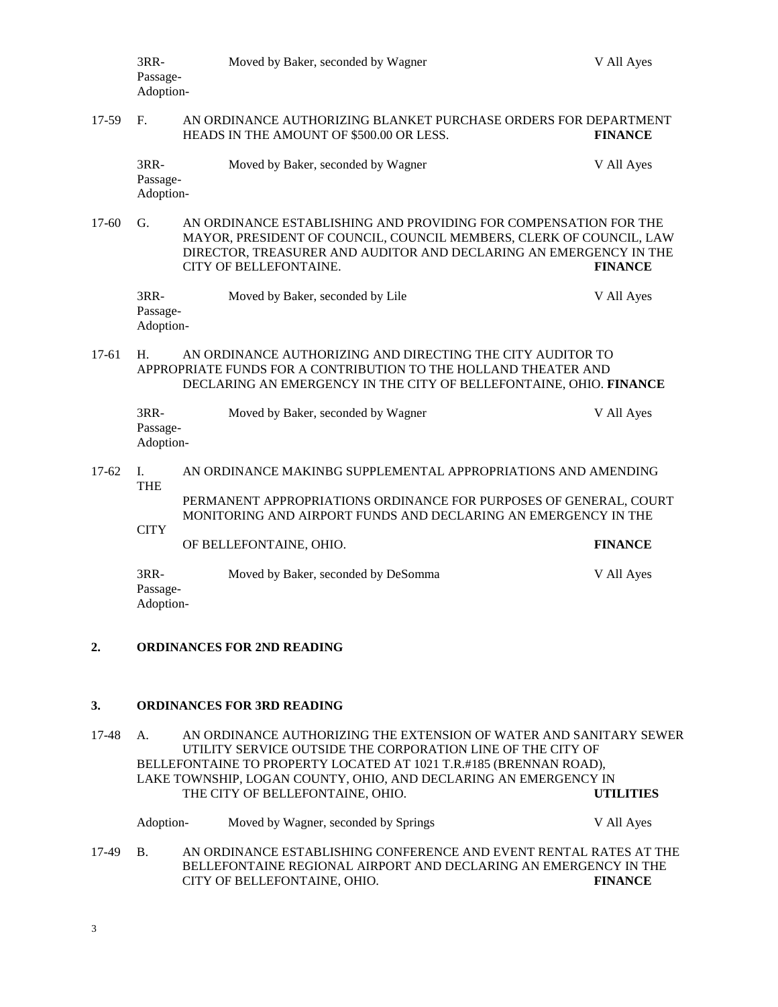|         | 3RR-<br>Passage-<br>Adoption-                                                                                                                                                                                                                                  | Moved by Baker, seconded by Wagner                                                                                                  | V All Ayes     |  |  |  |
|---------|----------------------------------------------------------------------------------------------------------------------------------------------------------------------------------------------------------------------------------------------------------------|-------------------------------------------------------------------------------------------------------------------------------------|----------------|--|--|--|
| 17-59   | F.<br>AN ORDINANCE AUTHORIZING BLANKET PURCHASE ORDERS FOR DEPARTMENT<br>HEADS IN THE AMOUNT OF \$500.00 OR LESS.<br><b>FINANCE</b>                                                                                                                            |                                                                                                                                     |                |  |  |  |
|         | 3RR-<br>Passage-<br>Adoption-                                                                                                                                                                                                                                  | Moved by Baker, seconded by Wagner                                                                                                  | V All Ayes     |  |  |  |
| 17-60   | G.<br>AN ORDINANCE ESTABLISHING AND PROVIDING FOR COMPENSATION FOR THE<br>MAYOR, PRESIDENT OF COUNCIL, COUNCIL MEMBERS, CLERK OF COUNCIL, LAW<br>DIRECTOR, TREASURER AND AUDITOR AND DECLARING AN EMERGENCY IN THE<br>CITY OF BELLEFONTAINE.<br><b>FINANCE</b> |                                                                                                                                     |                |  |  |  |
|         | 3RR-<br>Passage-<br>Adoption-                                                                                                                                                                                                                                  | Moved by Baker, seconded by Lile                                                                                                    | V All Ayes     |  |  |  |
| 17-61   | AN ORDINANCE AUTHORIZING AND DIRECTING THE CITY AUDITOR TO<br>H.<br>APPROPRIATE FUNDS FOR A CONTRIBUTION TO THE HOLLAND THEATER AND<br>DECLARING AN EMERGENCY IN THE CITY OF BELLEFONTAINE, OHIO. FINANCE                                                      |                                                                                                                                     |                |  |  |  |
|         | 3RR-<br>Passage-<br>Adoption-                                                                                                                                                                                                                                  | Moved by Baker, seconded by Wagner                                                                                                  | V All Ayes     |  |  |  |
| $17-62$ | I.<br><b>THE</b>                                                                                                                                                                                                                                               | AN ORDINANCE MAKINBG SUPPLEMENTAL APPROPRIATIONS AND AMENDING                                                                       |                |  |  |  |
|         |                                                                                                                                                                                                                                                                | PERMANENT APPROPRIATIONS ORDINANCE FOR PURPOSES OF GENERAL, COURT<br>MONITORING AND AIRPORT FUNDS AND DECLARING AN EMERGENCY IN THE |                |  |  |  |
|         | <b>CITY</b>                                                                                                                                                                                                                                                    | OF BELLEFONTAINE, OHIO.                                                                                                             | <b>FINANCE</b> |  |  |  |
|         | $3RR-$<br>Passage-<br>Adoption-                                                                                                                                                                                                                                | Moved by Baker, seconded by DeSomma                                                                                                 | V All Ayes     |  |  |  |

# **2. ORDINANCES FOR 2ND READING**

### **3. ORDINANCES FOR 3RD READING**

17-48 A. AN ORDINANCE AUTHORIZING THE EXTENSION OF WATER AND SANITARY SEWER UTILITY SERVICE OUTSIDE THE CORPORATION LINE OF THE CITY OF BELLEFONTAINE TO PROPERTY LOCATED AT 1021 T.R.#185 (BRENNAN ROAD), LAKE TOWNSHIP, LOGAN COUNTY, OHIO, AND DECLARING AN EMERGENCY IN<br>THE CITY OF BELLEFONTAINE. OHIO. UTILITIES THE CITY OF BELLEFONTAINE, OHIO.

|       | Adoption- | Moved by Wagner, seconded by Springs                                                                                                                                   |  |  | V All Ayes     |  |
|-------|-----------|------------------------------------------------------------------------------------------------------------------------------------------------------------------------|--|--|----------------|--|
| 17-49 | - B.      | AN ORDINANCE ESTABLISHING CONFERENCE AND EVENT RENTAL RATES AT THE<br>BELLEFONTAINE REGIONAL AIRPORT AND DECLARING AN EMERGENCY IN THE<br>CITY OF BELLEFONTAINE, OHIO. |  |  | <b>FINANCE</b> |  |
|       |           |                                                                                                                                                                        |  |  |                |  |